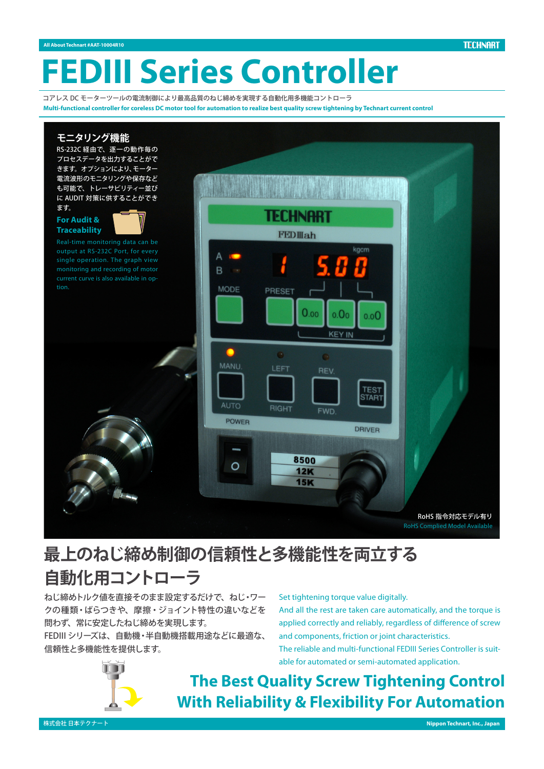**TECHNART** 

# **FEDIII Series Controller**

コアレス DC モーターツールの雷流制御により最高品質のねじ締めを実現する自動化用多機能コントローラ Multi-functional controller for coreless DC motor tool for automation to realize best quality screw tightening by Technart current control



# **最上のねじ締め制御の信頼性と多機能性を両立する 自動化用コントローラ**

ねじ締めトルク値を直接そのまま設定するだけで、ねじ・ワー クの種類・ばらつきや、摩擦・ジョイント特性の違いなどを 問わず、常に安定したねじ締めを実現します。

FEDIII シリーズは、自動機·半自動機搭載用涂などに最適な、 信頼性と多機能性を提供します。

# Set tightening torque value digitally.

And all the rest are taken care automatically, and the torque is applied correctly and reliably, regardless of difference of screw and components, friction or joint characteristics.

able for automated or semi-automated application. The reliable and multi-functional FEDIII Series Controller is suit-



# **The Best Quality Screw Tightening Control With Reliability & Flexibility For Automation**